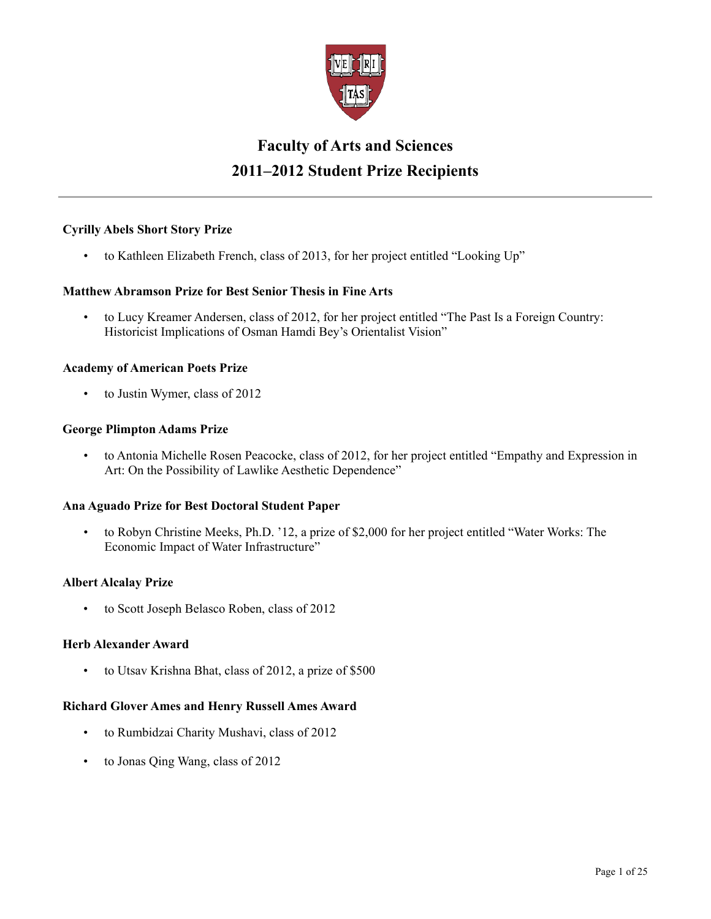

# **Faculty of Arts and Sciences 2011–2012 Student Prize Recipients**

# **Cyrilly Abels Short Story Prize**

• to Kathleen Elizabeth French, class of 2013, for her project entitled "Looking Up"

# **Matthew Abramson Prize for Best Senior Thesis in Fine Arts**

• to Lucy Kreamer Andersen, class of 2012, for her project entitled "The Past Is a Foreign Country: Historicist Implications of Osman Hamdi Bey's Orientalist Vision"

# **Academy of American Poets Prize**

• to Justin Wymer, class of 2012

### **George Plimpton Adams Prize**

• to Antonia Michelle Rosen Peacocke, class of 2012, for her project entitled "Empathy and Expression in Art: On the Possibility of Lawlike Aesthetic Dependence"

# **Ana Aguado Prize for Best Doctoral Student Paper**

• to Robyn Christine Meeks, Ph.D. '12, a prize of \$2,000 for her project entitled "Water Works: The Economic Impact of Water Infrastructure"

# **Albert Alcalay Prize**

• to Scott Joseph Belasco Roben, class of 2012

# **Herb Alexander Award**

• to Utsav Krishna Bhat, class of 2012, a prize of \$500

# **Richard Glover Ames and Henry Russell Ames Award**

- to Rumbidzai Charity Mushavi, class of 2012
- to Jonas Qing Wang, class of 2012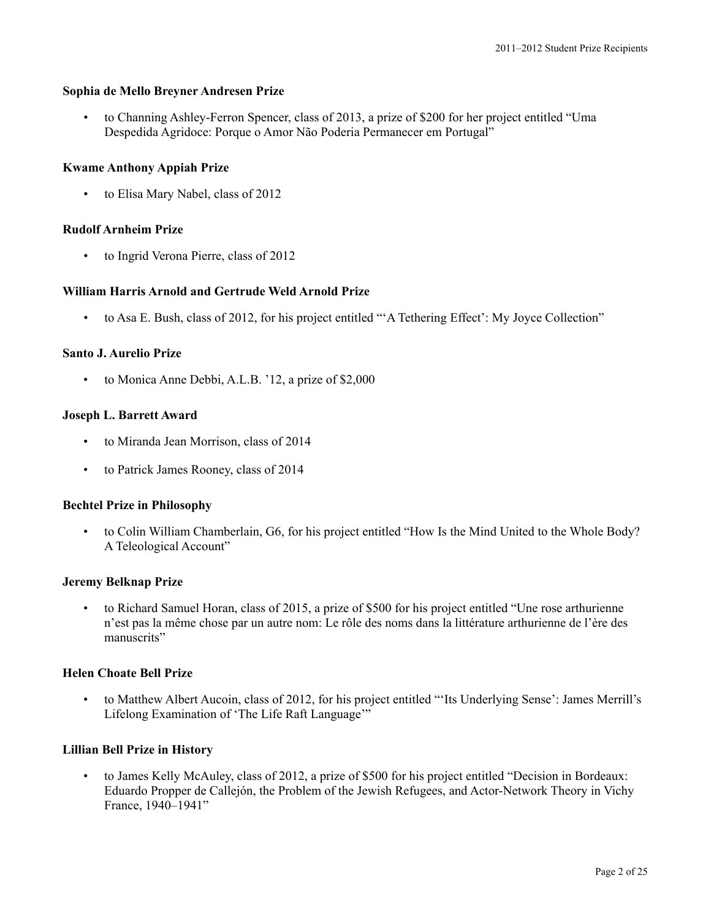#### **Sophia de Mello Breyner Andresen Prize**

• to Channing Ashley-Ferron Spencer, class of 2013, a prize of \$200 for her project entitled "Uma Despedida Agridoce: Porque o Amor Não Poderia Permanecer em Portugal"

#### **Kwame Anthony Appiah Prize**

• to Elisa Mary Nabel, class of 2012

#### **Rudolf Arnheim Prize**

• to Ingrid Verona Pierre, class of 2012

### **William Harris Arnold and Gertrude Weld Arnold Prize**

• to Asa E. Bush, class of 2012, for his project entitled "'A Tethering Effect': My Joyce Collection"

### **Santo J. Aurelio Prize**

• to Monica Anne Debbi, A.L.B. '12, a prize of \$2,000

### **Joseph L. Barrett Award**

- to Miranda Jean Morrison, class of 2014
- to Patrick James Rooney, class of 2014

#### **Bechtel Prize in Philosophy**

• to Colin William Chamberlain, G6, for his project entitled "How Is the Mind United to the Whole Body? A Teleological Account"

#### **Jeremy Belknap Prize**

• to Richard Samuel Horan, class of 2015, a prize of \$500 for his project entitled "Une rose arthurienne n'est pas la même chose par un autre nom: Le rôle des noms dans la littérature arthurienne de l'ère des manuscrits"

#### **Helen Choate Bell Prize**

• to Matthew Albert Aucoin, class of 2012, for his project entitled "'Its Underlying Sense': James Merrill's Lifelong Examination of 'The Life Raft Language'"

#### **Lillian Bell Prize in History**

• to James Kelly McAuley, class of 2012, a prize of \$500 for his project entitled "Decision in Bordeaux: Eduardo Propper de Callejón, the Problem of the Jewish Refugees, and Actor-Network Theory in Vichy France, 1940–1941"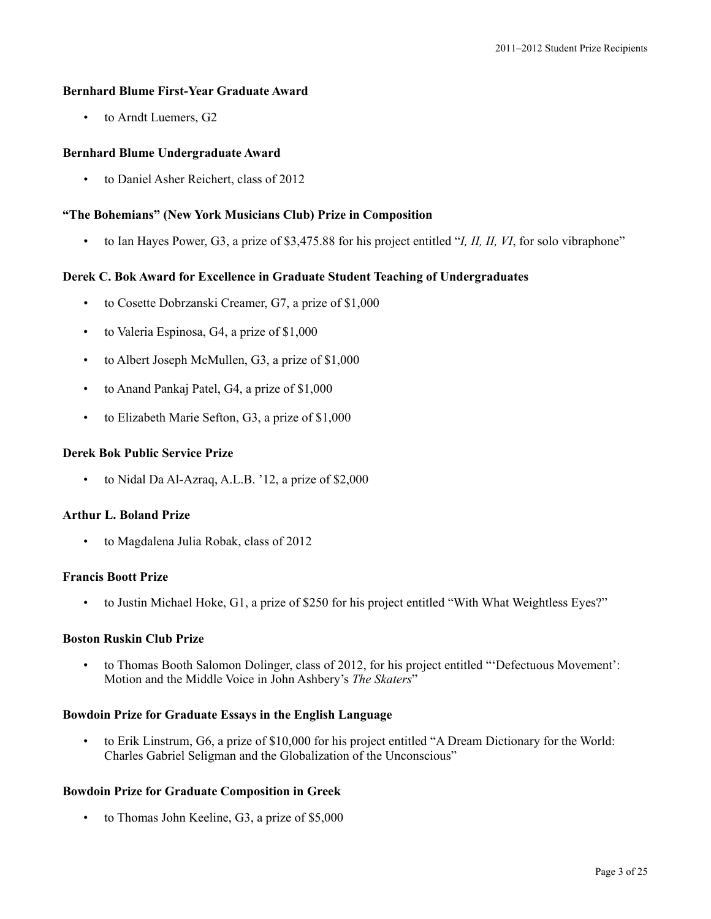# **Bernhard Blume First-Year Graduate Award**

• to Arndt Luemers, G2

# **Bernhard Blume Undergraduate Award**

• to Daniel Asher Reichert, class of 2012

# **"The Bohemians" (New York Musicians Club) Prize in Composition**

• to Ian Hayes Power, G3, a prize of \$3,475.88 for his project entitled "*I, II, II, VI*, for solo vibraphone"

# **Derek C. Bok Award for Excellence in Graduate Student Teaching of Undergraduates**

- to Cosette Dobrzanski Creamer, G7, a prize of \$1,000
- to Valeria Espinosa, G4, a prize of \$1,000
- to Albert Joseph McMullen, G3, a prize of \$1,000
- to Anand Pankaj Patel, G4, a prize of \$1,000
- to Elizabeth Marie Sefton, G3, a prize of \$1,000

# **Derek Bok Public Service Prize**

• to Nidal Da Al-Azraq, A.L.B. '12, a prize of \$2,000

# **Arthur L. Boland Prize**

• to Magdalena Julia Robak, class of 2012

# **Francis Boott Prize**

• to Justin Michael Hoke, G1, a prize of \$250 for his project entitled "With What Weightless Eyes?"

# **Boston Ruskin Club Prize**

• to Thomas Booth Salomon Dolinger, class of 2012, for his project entitled "'Defectuous Movement': Motion and the Middle Voice in John Ashbery's *The Skaters*"

# **Bowdoin Prize for Graduate Essays in the English Language**

• to Erik Linstrum, G6, a prize of \$10,000 for his project entitled "A Dream Dictionary for the World: Charles Gabriel Seligman and the Globalization of the Unconscious"

# **Bowdoin Prize for Graduate Composition in Greek**

• to Thomas John Keeline, G3, a prize of \$5,000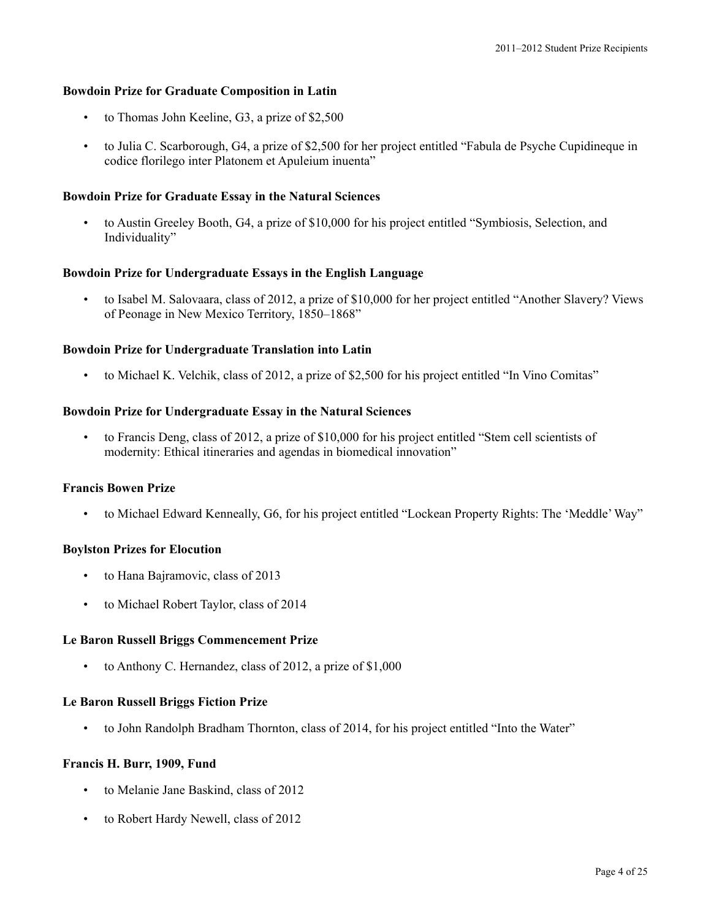#### **Bowdoin Prize for Graduate Composition in Latin**

- to Thomas John Keeline, G3, a prize of \$2,500
- to Julia C. Scarborough, G4, a prize of \$2,500 for her project entitled "Fabula de Psyche Cupidineque in codice florilego inter Platonem et Apuleium inuenta"

#### **Bowdoin Prize for Graduate Essay in the Natural Sciences**

• to Austin Greeley Booth, G4, a prize of \$10,000 for his project entitled "Symbiosis, Selection, and Individuality"

#### **Bowdoin Prize for Undergraduate Essays in the English Language**

• to Isabel M. Salovaara, class of 2012, a prize of \$10,000 for her project entitled "Another Slavery? Views of Peonage in New Mexico Territory, 1850–1868"

#### **Bowdoin Prize for Undergraduate Translation into Latin**

• to Michael K. Velchik, class of 2012, a prize of \$2,500 for his project entitled "In Vino Comitas"

#### **Bowdoin Prize for Undergraduate Essay in the Natural Sciences**

• to Francis Deng, class of 2012, a prize of \$10,000 for his project entitled "Stem cell scientists of modernity: Ethical itineraries and agendas in biomedical innovation"

#### **Francis Bowen Prize**

• to Michael Edward Kenneally, G6, for his project entitled "Lockean Property Rights: The 'Meddle'Way"

### **Boylston Prizes for Elocution**

- to Hana Bajramovic, class of 2013
- to Michael Robert Taylor, class of 2014

#### **Le Baron Russell Briggs Commencement Prize**

• to Anthony C. Hernandez, class of 2012, a prize of \$1,000

#### **Le Baron Russell Briggs Fiction Prize**

• to John Randolph Bradham Thornton, class of 2014, for his project entitled "Into the Water"

#### **Francis H. Burr, 1909, Fund**

- to Melanie Jane Baskind, class of 2012
- to Robert Hardy Newell, class of 2012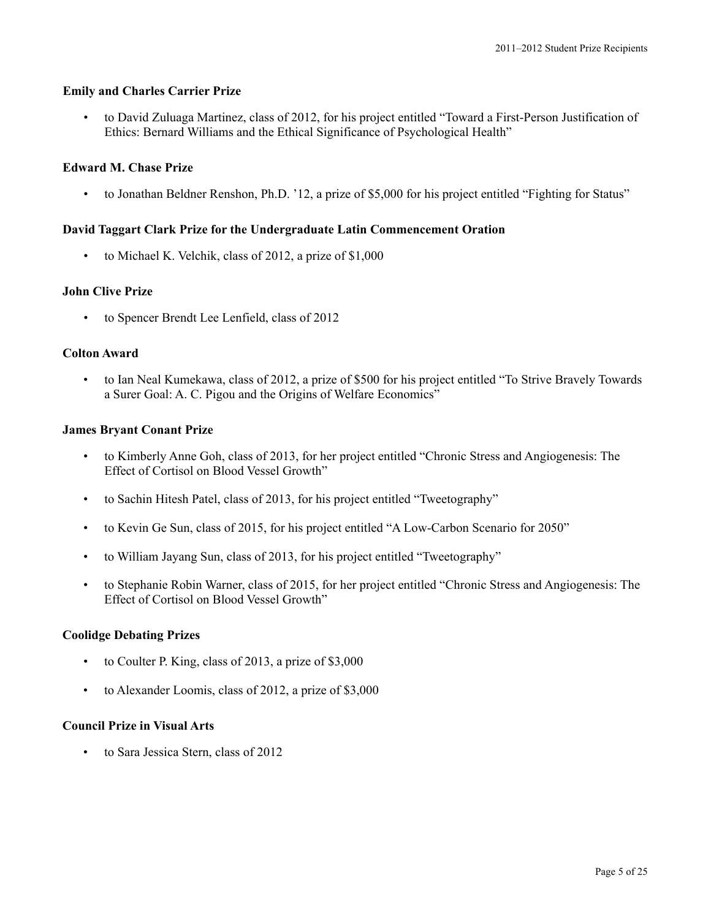# **Emily and Charles Carrier Prize**

• to David Zuluaga Martinez, class of 2012, for his project entitled "Toward a First-Person Justification of Ethics: Bernard Williams and the Ethical Significance of Psychological Health"

# **Edward M. Chase Prize**

• to Jonathan Beldner Renshon, Ph.D. '12, a prize of \$5,000 for his project entitled "Fighting for Status"

# **David Taggart Clark Prize for the Undergraduate Latin Commencement Oration**

• to Michael K. Velchik, class of 2012, a prize of \$1,000

# **John Clive Prize**

• to Spencer Brendt Lee Lenfield, class of 2012

# **Colton Award**

• to Ian Neal Kumekawa, class of 2012, a prize of \$500 for his project entitled "To Strive Bravely Towards a Surer Goal: A. C. Pigou and the Origins of Welfare Economics"

### **James Bryant Conant Prize**

- to Kimberly Anne Goh, class of 2013, for her project entitled "Chronic Stress and Angiogenesis: The Effect of Cortisol on Blood Vessel Growth"
- to Sachin Hitesh Patel, class of 2013, for his project entitled "Tweetography"
- to Kevin Ge Sun, class of 2015, for his project entitled "A Low-Carbon Scenario for 2050"
- to William Jayang Sun, class of 2013, for his project entitled "Tweetography"
- to Stephanie Robin Warner, class of 2015, for her project entitled "Chronic Stress and Angiogenesis: The Effect of Cortisol on Blood Vessel Growth"

# **Coolidge Debating Prizes**

- to Coulter P. King, class of 2013, a prize of \$3,000
- to Alexander Loomis, class of 2012, a prize of \$3,000

#### **Council Prize in Visual Arts**

• to Sara Jessica Stern, class of 2012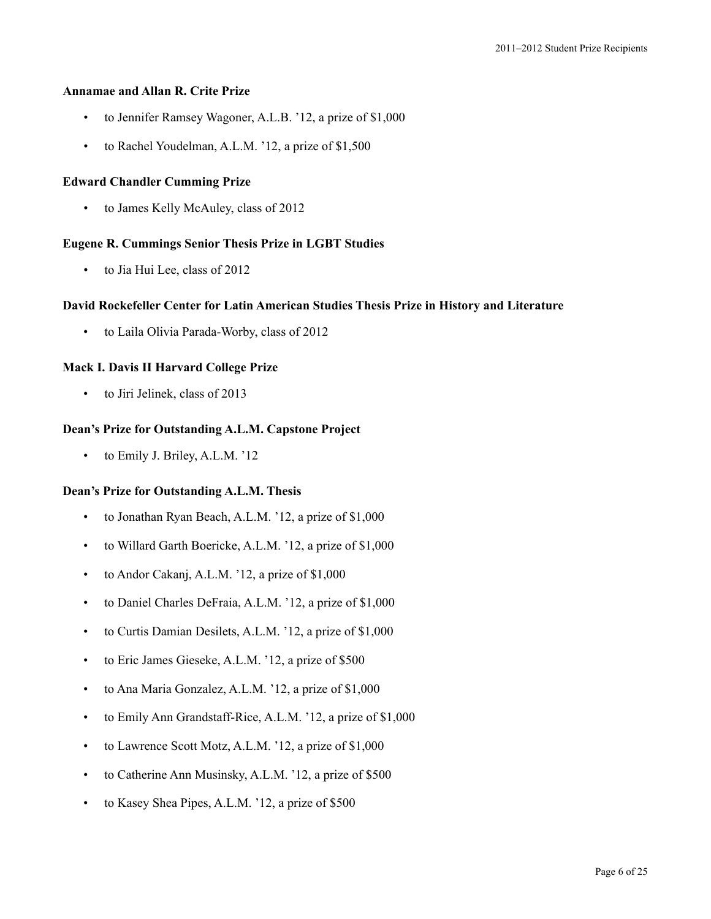### **Annamae and Allan R. Crite Prize**

- to Jennifer Ramsey Wagoner, A.L.B. '12, a prize of \$1,000
- to Rachel Youdelman, A.L.M. '12, a prize of \$1,500

#### **Edward Chandler Cumming Prize**

• to James Kelly McAuley, class of 2012

### **Eugene R. Cummings Senior Thesis Prize in LGBT Studies**

to Jia Hui Lee, class of 2012

#### **David Rockefeller Center for Latin American Studies Thesis Prize in History and Literature**

• to Laila Olivia Parada-Worby, class of 2012

### **Mack I. Davis II Harvard College Prize**

• to Jiri Jelinek, class of 2013

### **Dean's Prize for Outstanding A.L.M. Capstone Project**

• to Emily J. Briley, A.L.M. '12

### **Dean's Prize for Outstanding A.L.M. Thesis**

- to Jonathan Ryan Beach, A.L.M. '12, a prize of \$1,000
- to Willard Garth Boericke, A.L.M. '12, a prize of \$1,000
- to Andor Cakanj, A.L.M. '12, a prize of \$1,000
- to Daniel Charles DeFraia, A.L.M. '12, a prize of \$1,000
- to Curtis Damian Desilets, A.L.M. '12, a prize of \$1,000
- to Eric James Gieseke, A.L.M. '12, a prize of \$500
- to Ana Maria Gonzalez, A.L.M. '12, a prize of \$1,000
- to Emily Ann Grandstaff-Rice, A.L.M. '12, a prize of \$1,000
- to Lawrence Scott Motz, A.L.M. '12, a prize of \$1,000
- to Catherine Ann Musinsky, A.L.M. '12, a prize of \$500
- to Kasey Shea Pipes, A.L.M. '12, a prize of \$500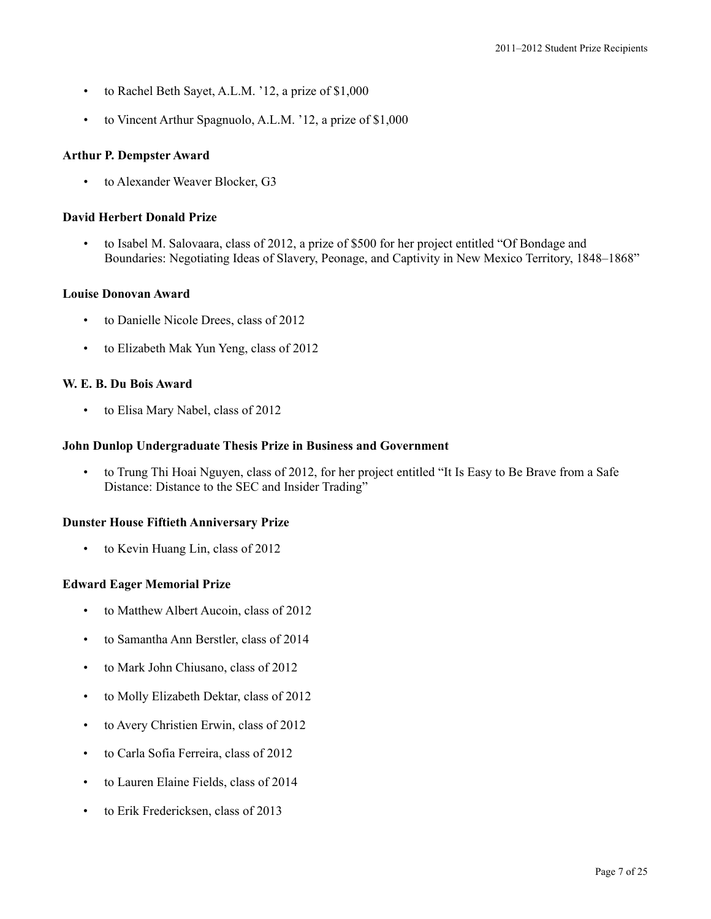- to Rachel Beth Sayet, A.L.M. '12, a prize of \$1,000
- to Vincent Arthur Spagnuolo, A.L.M. '12, a prize of \$1,000

# **Arthur P. Dempster Award**

• to Alexander Weaver Blocker, G3

# **David Herbert Donald Prize**

• to Isabel M. Salovaara, class of 2012, a prize of \$500 for her project entitled "Of Bondage and Boundaries: Negotiating Ideas of Slavery, Peonage, and Captivity in New Mexico Territory, 1848–1868"

### **Louise Donovan Award**

- to Danielle Nicole Drees, class of 2012
- to Elizabeth Mak Yun Yeng, class of 2012

### **W. E. B. Du Bois Award**

• to Elisa Mary Nabel, class of 2012

### **John Dunlop Undergraduate Thesis Prize in Business and Government**

• to Trung Thi Hoai Nguyen, class of 2012, for her project entitled "It Is Easy to Be Brave from a Safe Distance: Distance to the SEC and Insider Trading"

#### **Dunster House Fiftieth Anniversary Prize**

• to Kevin Huang Lin, class of 2012

# **Edward Eager Memorial Prize**

- to Matthew Albert Aucoin, class of 2012
- to Samantha Ann Berstler, class of 2014
- to Mark John Chiusano, class of 2012
- to Molly Elizabeth Dektar, class of 2012
- to Avery Christien Erwin, class of 2012
- to Carla Sofia Ferreira, class of 2012
- to Lauren Elaine Fields, class of 2014
- to Erik Fredericksen, class of 2013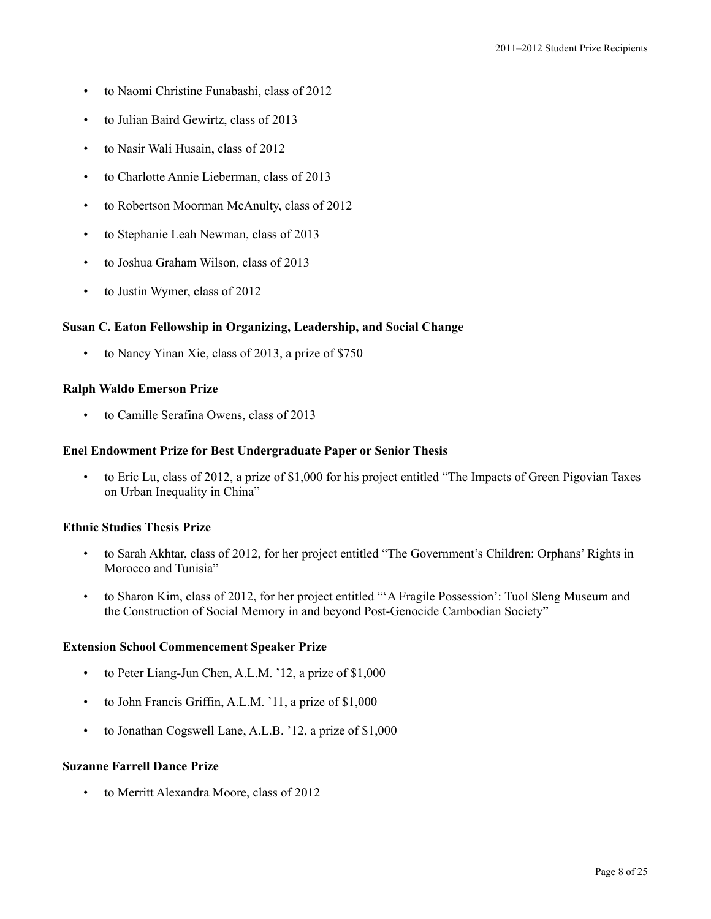- to Naomi Christine Funabashi, class of 2012
- to Julian Baird Gewirtz, class of 2013
- to Nasir Wali Husain, class of 2012
- to Charlotte Annie Lieberman, class of 2013
- to Robertson Moorman McAnulty, class of 2012
- to Stephanie Leah Newman, class of 2013
- to Joshua Graham Wilson, class of 2013
- to Justin Wymer, class of 2012

#### **Susan C. Eaton Fellowship in Organizing, Leadership, and Social Change**

• to Nancy Yinan Xie, class of 2013, a prize of \$750

### **Ralph Waldo Emerson Prize**

• to Camille Serafina Owens, class of 2013

#### **Enel Endowment Prize for Best Undergraduate Paper or Senior Thesis**

• to Eric Lu, class of 2012, a prize of \$1,000 for his project entitled "The Impacts of Green Pigovian Taxes on Urban Inequality in China"

#### **Ethnic Studies Thesis Prize**

- to Sarah Akhtar, class of 2012, for her project entitled "The Government's Children: Orphans' Rights in Morocco and Tunisia"
- to Sharon Kim, class of 2012, for her project entitled "'A Fragile Possession': Tuol Sleng Museum and the Construction of Social Memory in and beyond Post-Genocide Cambodian Society"

#### **Extension School Commencement Speaker Prize**

- to Peter Liang-Jun Chen, A.L.M. '12, a prize of \$1,000
- to John Francis Griffin, A.L.M. '11, a prize of \$1,000
- to Jonathan Cogswell Lane, A.L.B. '12, a prize of \$1,000

# **Suzanne Farrell Dance Prize**

• to Merritt Alexandra Moore, class of 2012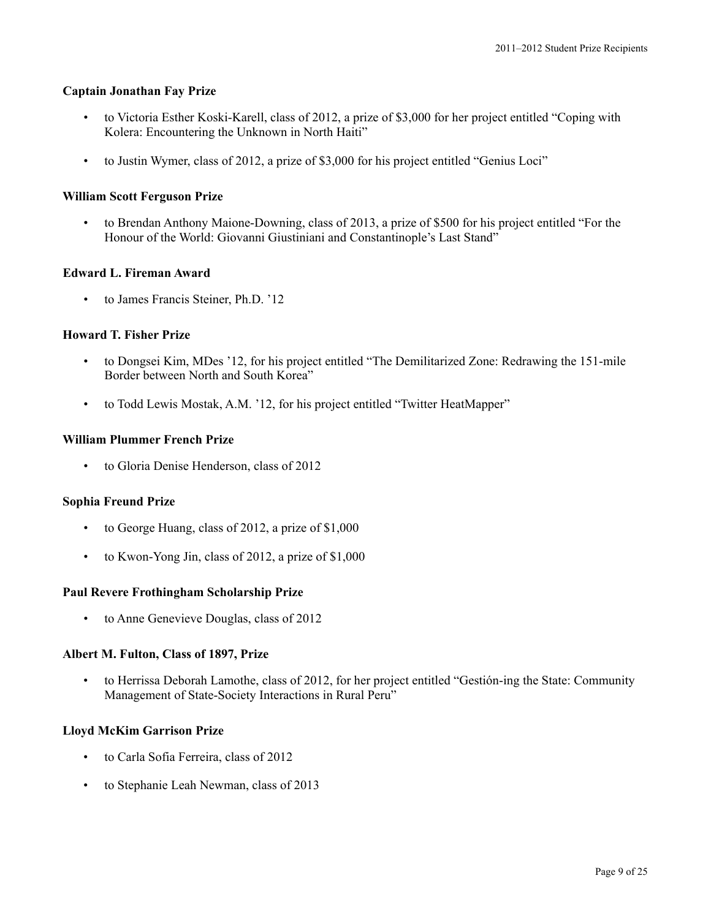#### **Captain Jonathan Fay Prize**

- to Victoria Esther Koski-Karell, class of 2012, a prize of \$3,000 for her project entitled "Coping with Kolera: Encountering the Unknown in North Haiti"
- to Justin Wymer, class of 2012, a prize of \$3,000 for his project entitled "Genius Loci"

### **William Scott Ferguson Prize**

• to Brendan Anthony Maione-Downing, class of 2013, a prize of \$500 for his project entitled "For the Honour of the World: Giovanni Giustiniani and Constantinople's Last Stand"

### **Edward L. Fireman Award**

to James Francis Steiner, Ph.D. '12

### **Howard T. Fisher Prize**

- to Dongsei Kim, MDes '12, for his project entitled "The Demilitarized Zone: Redrawing the 151-mile Border between North and South Korea"
- to Todd Lewis Mostak, A.M. '12, for his project entitled "Twitter HeatMapper"

### **William Plummer French Prize**

to Gloria Denise Henderson, class of 2012

#### **Sophia Freund Prize**

- to George Huang, class of 2012, a prize of \$1,000
- to Kwon-Yong Jin, class of  $2012$ , a prize of  $$1,000$

#### **Paul Revere Frothingham Scholarship Prize**

to Anne Genevieve Douglas, class of 2012

#### **Albert M. Fulton, Class of 1897, Prize**

• to Herrissa Deborah Lamothe, class of 2012, for her project entitled "Gestión-ing the State: Community Management of State-Society Interactions in Rural Peru"

#### **Lloyd McKim Garrison Prize**

- to Carla Sofia Ferreira, class of 2012
- to Stephanie Leah Newman, class of 2013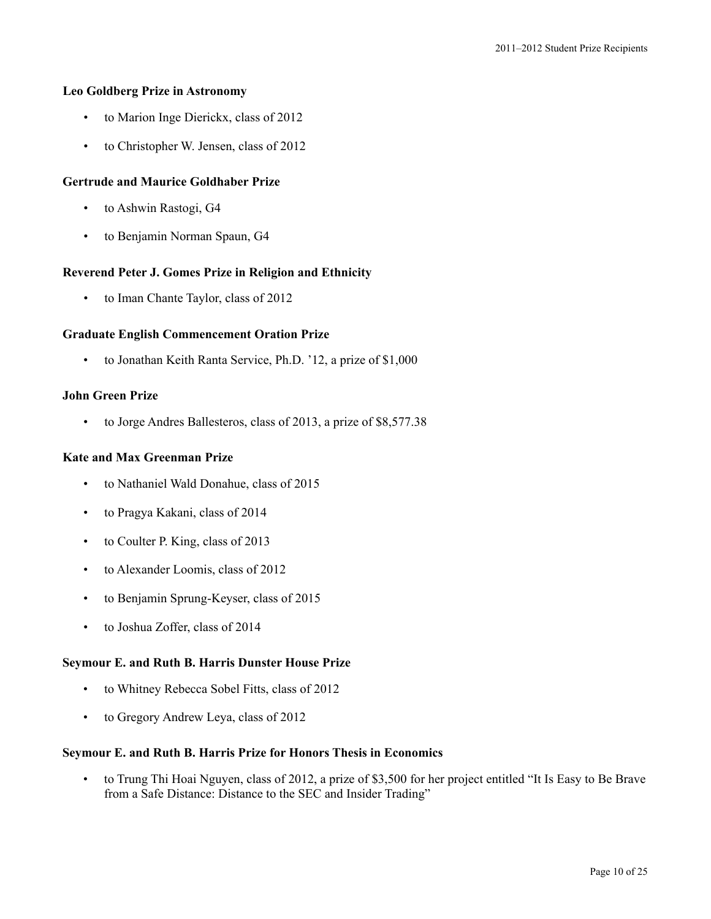### **Leo Goldberg Prize in Astronomy**

- to Marion Inge Dierickx, class of 2012
- to Christopher W. Jensen, class of 2012

# **Gertrude and Maurice Goldhaber Prize**

- to Ashwin Rastogi, G4
- to Benjamin Norman Spaun, G4

### **Reverend Peter J. Gomes Prize in Religion and Ethnicity**

to Iman Chante Taylor, class of 2012

### **Graduate English Commencement Oration Prize**

• to Jonathan Keith Ranta Service, Ph.D. '12, a prize of \$1,000

### **John Green Prize**

• to Jorge Andres Ballesteros, class of 2013, a prize of \$8,577.38

### **Kate and Max Greenman Prize**

- to Nathaniel Wald Donahue, class of 2015
- to Pragya Kakani, class of 2014
- to Coulter P. King, class of 2013
- to Alexander Loomis, class of 2012
- to Benjamin Sprung-Keyser, class of 2015
- to Joshua Zoffer, class of 2014

#### **Seymour E. and Ruth B. Harris Dunster House Prize**

- to Whitney Rebecca Sobel Fitts, class of 2012
- to Gregory Andrew Leya, class of 2012

### **Seymour E. and Ruth B. Harris Prize for Honors Thesis in Economics**

• to Trung Thi Hoai Nguyen, class of 2012, a prize of \$3,500 for her project entitled "It Is Easy to Be Brave from a Safe Distance: Distance to the SEC and Insider Trading"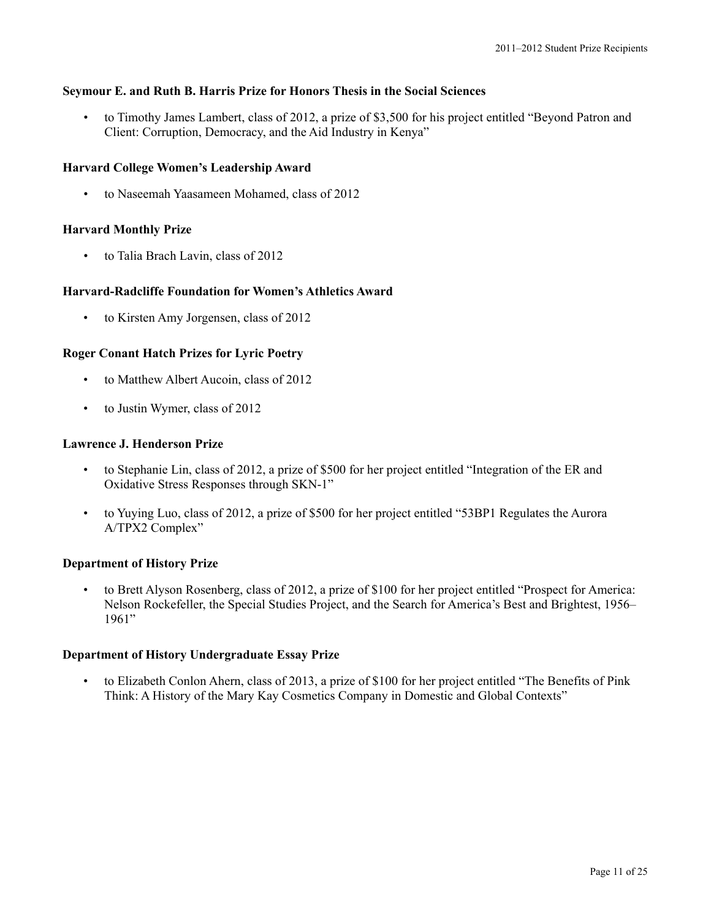# **Seymour E. and Ruth B. Harris Prize for Honors Thesis in the Social Sciences**

• to Timothy James Lambert, class of 2012, a prize of \$3,500 for his project entitled "Beyond Patron and Client: Corruption, Democracy, and the Aid Industry in Kenya"

# **Harvard College Women's Leadership Award**

• to Naseemah Yaasameen Mohamed, class of 2012

# **Harvard Monthly Prize**

• to Talia Brach Lavin, class of 2012

# **Harvard-Radcliffe Foundation for Women's Athletics Award**

• to Kirsten Amy Jorgensen, class of 2012

# **Roger Conant Hatch Prizes for Lyric Poetry**

- to Matthew Albert Aucoin, class of 2012
- to Justin Wymer, class of 2012

# **Lawrence J. Henderson Prize**

- to Stephanie Lin, class of 2012, a prize of \$500 for her project entitled "Integration of the ER and Oxidative Stress Responses through SKN-1"
- to Yuying Luo, class of 2012, a prize of \$500 for her project entitled "53BP1 Regulates the Aurora A/TPX2 Complex"

# **Department of History Prize**

• to Brett Alyson Rosenberg, class of 2012, a prize of \$100 for her project entitled "Prospect for America: Nelson Rockefeller, the Special Studies Project, and the Search for America's Best and Brightest, 1956– 1961"

# **Department of History Undergraduate Essay Prize**

• to Elizabeth Conlon Ahern, class of 2013, a prize of \$100 for her project entitled "The Benefits of Pink Think: A History of the Mary Kay Cosmetics Company in Domestic and Global Contexts"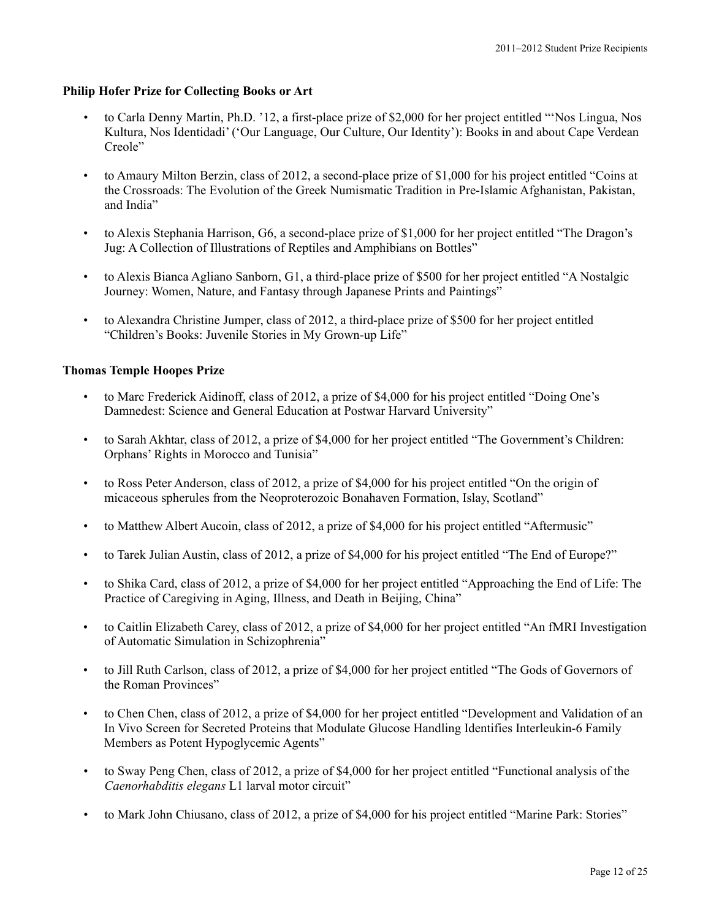# **Philip Hofer Prize for Collecting Books or Art**

- to Carla Denny Martin, Ph.D. '12, a first-place prize of \$2,000 for her project entitled "'Nos Lingua, Nos Kultura, Nos Identidadi' ('Our Language, Our Culture, Our Identity'): Books in and about Cape Verdean Creole"
- to Amaury Milton Berzin, class of 2012, a second-place prize of \$1,000 for his project entitled "Coins at the Crossroads: The Evolution of the Greek Numismatic Tradition in Pre-Islamic Afghanistan, Pakistan, and India"
- to Alexis Stephania Harrison, G6, a second-place prize of \$1,000 for her project entitled "The Dragon's Jug: A Collection of Illustrations of Reptiles and Amphibians on Bottles"
- to Alexis Bianca Agliano Sanborn, G1, a third-place prize of \$500 for her project entitled "A Nostalgic Journey: Women, Nature, and Fantasy through Japanese Prints and Paintings"
- to Alexandra Christine Jumper, class of 2012, a third-place prize of \$500 for her project entitled "Children's Books: Juvenile Stories in My Grown-up Life"

# **Thomas Temple Hoopes Prize**

- to Marc Frederick Aidinoff, class of 2012, a prize of \$4,000 for his project entitled "Doing One's Damnedest: Science and General Education at Postwar Harvard University"
- to Sarah Akhtar, class of 2012, a prize of \$4,000 for her project entitled "The Government's Children: Orphans' Rights in Morocco and Tunisia"
- to Ross Peter Anderson, class of 2012, a prize of \$4,000 for his project entitled "On the origin of micaceous spherules from the Neoproterozoic Bonahaven Formation, Islay, Scotland"
- to Matthew Albert Aucoin, class of 2012, a prize of \$4,000 for his project entitled "Aftermusic"
- to Tarek Julian Austin, class of 2012, a prize of \$4,000 for his project entitled "The End of Europe?"
- to Shika Card, class of 2012, a prize of \$4,000 for her project entitled "Approaching the End of Life: The Practice of Caregiving in Aging, Illness, and Death in Beijing, China"
- to Caitlin Elizabeth Carey, class of 2012, a prize of \$4,000 for her project entitled "An fMRI Investigation of Automatic Simulation in Schizophrenia"
- to Jill Ruth Carlson, class of 2012, a prize of \$4,000 for her project entitled "The Gods of Governors of the Roman Provinces"
- to Chen Chen, class of 2012, a prize of \$4,000 for her project entitled "Development and Validation of an In Vivo Screen for Secreted Proteins that Modulate Glucose Handling Identifies Interleukin-6 Family Members as Potent Hypoglycemic Agents"
- to Sway Peng Chen, class of 2012, a prize of \$4,000 for her project entitled "Functional analysis of the *Caenorhabditis elegans* L1 larval motor circuit"
- to Mark John Chiusano, class of 2012, a prize of \$4,000 for his project entitled "Marine Park: Stories"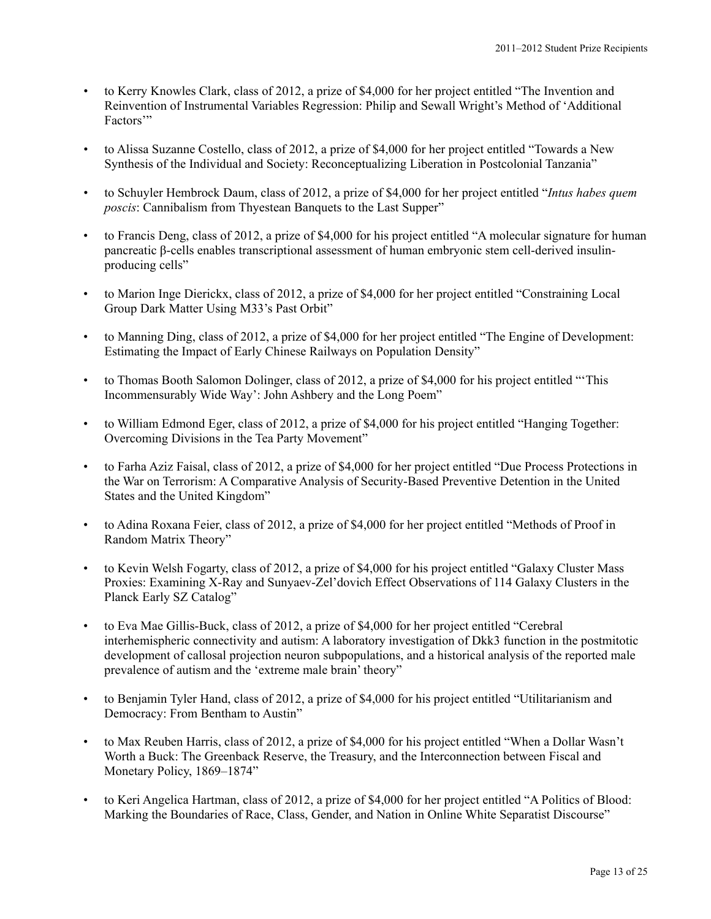- to Kerry Knowles Clark, class of 2012, a prize of \$4,000 for her project entitled "The Invention and Reinvention of Instrumental Variables Regression: Philip and Sewall Wright's Method of 'Additional Factors"
- to Alissa Suzanne Costello, class of 2012, a prize of \$4,000 for her project entitled "Towards a New Synthesis of the Individual and Society: Reconceptualizing Liberation in Postcolonial Tanzania"
- to Schuyler Hembrock Daum, class of 2012, a prize of \$4,000 for her project entitled "*Intus habes quem poscis*: Cannibalism from Thyestean Banquets to the Last Supper"
- to Francis Deng, class of 2012, a prize of \$4,000 for his project entitled "A molecular signature for human pancreatic β-cells enables transcriptional assessment of human embryonic stem cell-derived insulinproducing cells"
- to Marion Inge Dierickx, class of 2012, a prize of \$4,000 for her project entitled "Constraining Local Group Dark Matter Using M33's Past Orbit"
- to Manning Ding, class of 2012, a prize of \$4,000 for her project entitled "The Engine of Development: Estimating the Impact of Early Chinese Railways on Population Density"
- to Thomas Booth Salomon Dolinger, class of 2012, a prize of \$4,000 for his project entitled "'This Incommensurably Wide Way': John Ashbery and the Long Poem"
- to William Edmond Eger, class of 2012, a prize of \$4,000 for his project entitled "Hanging Together: Overcoming Divisions in the Tea Party Movement"
- to Farha Aziz Faisal, class of 2012, a prize of \$4,000 for her project entitled "Due Process Protections in the War on Terrorism: A Comparative Analysis of Security-Based Preventive Detention in the United States and the United Kingdom"
- to Adina Roxana Feier, class of 2012, a prize of \$4,000 for her project entitled "Methods of Proof in Random Matrix Theory"
- to Kevin Welsh Fogarty, class of 2012, a prize of \$4,000 for his project entitled "Galaxy Cluster Mass Proxies: Examining X-Ray and Sunyaev-Zel'dovich Effect Observations of 114 Galaxy Clusters in the Planck Early SZ Catalog"
- to Eva Mae Gillis-Buck, class of 2012, a prize of \$4,000 for her project entitled "Cerebral interhemispheric connectivity and autism: A laboratory investigation of Dkk3 function in the postmitotic development of callosal projection neuron subpopulations, and a historical analysis of the reported male prevalence of autism and the 'extreme male brain' theory"
- to Benjamin Tyler Hand, class of 2012, a prize of \$4,000 for his project entitled "Utilitarianism and Democracy: From Bentham to Austin"
- to Max Reuben Harris, class of 2012, a prize of \$4,000 for his project entitled "When a Dollar Wasn't Worth a Buck: The Greenback Reserve, the Treasury, and the Interconnection between Fiscal and Monetary Policy, 1869–1874"
- to Keri Angelica Hartman, class of 2012, a prize of \$4,000 for her project entitled "A Politics of Blood: Marking the Boundaries of Race, Class, Gender, and Nation in Online White Separatist Discourse"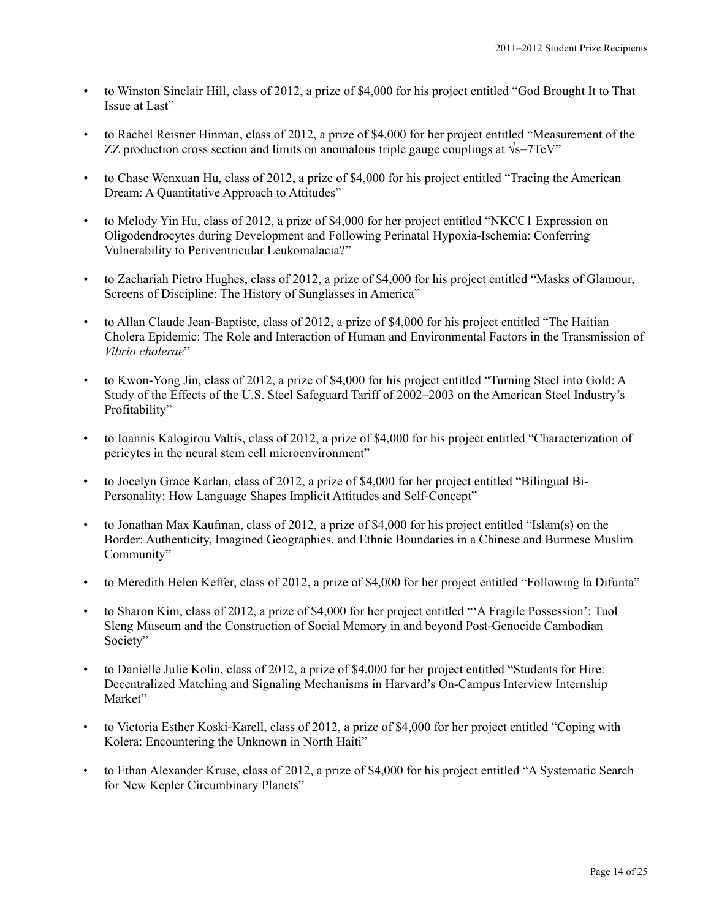- to Winston Sinclair Hill, class of 2012, a prize of \$4,000 for his project entitled "God Brought It to That Issue at Last"
- to Rachel Reisner Hinman, class of 2012, a prize of \$4,000 for her project entitled "Measurement of the ZZ production cross section and limits on anomalous triple gauge couplings at  $\sqrt{s}$ =7TeV"
- to Chase Wenxuan Hu, class of 2012, a prize of \$4,000 for his project entitled "Tracing the American Dream: A Quantitative Approach to Attitudes"
- to Melody Yin Hu, class of 2012, a prize of \$4,000 for her project entitled "NKCC1 Expression on Oligodendrocytes during Development and Following Perinatal Hypoxia-Ischemia: Conferring Vulnerability to Periventricular Leukomalacia?"
- to Zachariah Pietro Hughes, class of 2012, a prize of \$4,000 for his project entitled "Masks of Glamour, Screens of Discipline: The History of Sunglasses in America"
- to Allan Claude Jean-Baptiste, class of 2012, a prize of \$4,000 for his project entitled "The Haitian Cholera Epidemic: The Role and Interaction of Human and Environmental Factors in the Transmission of *Vibrio cholerae*"
- to Kwon-Yong Jin, class of 2012, a prize of \$4,000 for his project entitled "Turning Steel into Gold: A Study of the Effects of the U.S. Steel Safeguard Tariff of 2002–2003 on the American Steel Industry's Profitability"
- to Ioannis Kalogirou Valtis, class of 2012, a prize of \$4,000 for his project entitled "Characterization of pericytes in the neural stem cell microenvironment"
- to Jocelyn Grace Karlan, class of 2012, a prize of \$4,000 for her project entitled "Bilingual Bi-Personality: How Language Shapes Implicit Attitudes and Self-Concept"
- to Jonathan Max Kaufman, class of 2012, a prize of \$4,000 for his project entitled "Islam(s) on the Border: Authenticity, Imagined Geographies, and Ethnic Boundaries in a Chinese and Burmese Muslim Community"
- to Meredith Helen Keffer, class of 2012, a prize of \$4,000 for her project entitled "Following la Difunta"
- to Sharon Kim, class of 2012, a prize of \$4,000 for her project entitled "'A Fragile Possession': Tuol Sleng Museum and the Construction of Social Memory in and beyond Post-Genocide Cambodian Society"
- to Danielle Julie Kolin, class of 2012, a prize of \$4,000 for her project entitled "Students for Hire: Decentralized Matching and Signaling Mechanisms in Harvard's On-Campus Interview Internship Market"
- to Victoria Esther Koski-Karell, class of 2012, a prize of \$4,000 for her project entitled "Coping with Kolera: Encountering the Unknown in North Haiti"
- to Ethan Alexander Kruse, class of 2012, a prize of \$4,000 for his project entitled "A Systematic Search for New Kepler Circumbinary Planets"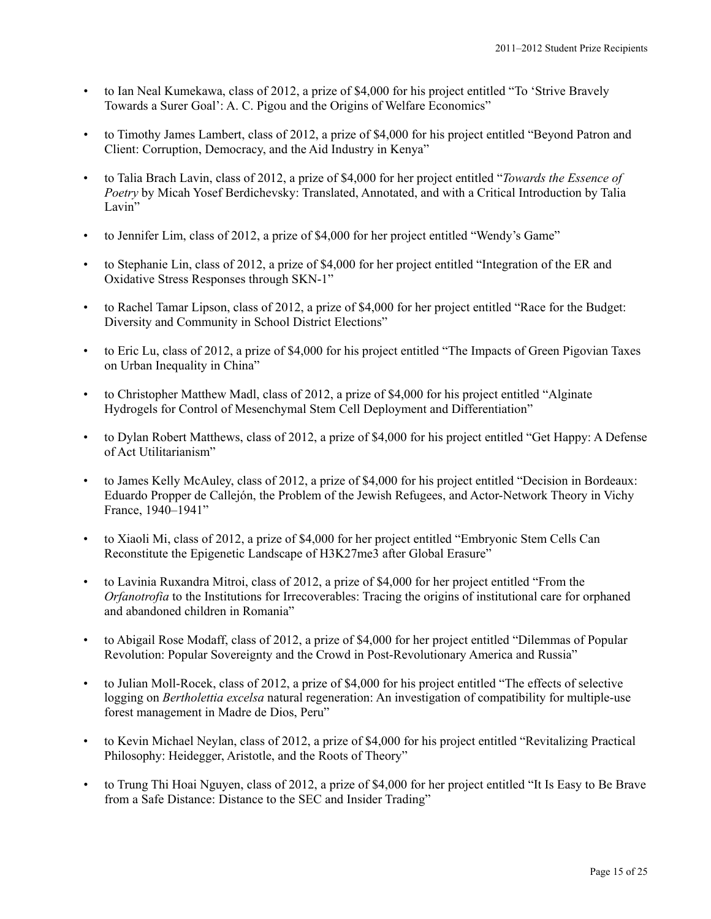- to Ian Neal Kumekawa, class of 2012, a prize of \$4,000 for his project entitled "To 'Strive Bravely Towards a Surer Goal': A. C. Pigou and the Origins of Welfare Economics"
- to Timothy James Lambert, class of 2012, a prize of \$4,000 for his project entitled "Beyond Patron and Client: Corruption, Democracy, and the Aid Industry in Kenya"
- to Talia Brach Lavin, class of 2012, a prize of \$4,000 for her project entitled "*Towards the Essence of Poetry* by Micah Yosef Berdichevsky: Translated, Annotated, and with a Critical Introduction by Talia Lavin"
- to Jennifer Lim, class of 2012, a prize of \$4,000 for her project entitled "Wendy's Game"
- to Stephanie Lin, class of 2012, a prize of \$4,000 for her project entitled "Integration of the ER and Oxidative Stress Responses through SKN-1"
- to Rachel Tamar Lipson, class of 2012, a prize of \$4,000 for her project entitled "Race for the Budget: Diversity and Community in School District Elections"
- to Eric Lu, class of 2012, a prize of \$4,000 for his project entitled "The Impacts of Green Pigovian Taxes on Urban Inequality in China"
- to Christopher Matthew Madl, class of 2012, a prize of \$4,000 for his project entitled "Alginate" Hydrogels for Control of Mesenchymal Stem Cell Deployment and Differentiation"
- to Dylan Robert Matthews, class of 2012, a prize of \$4,000 for his project entitled "Get Happy: A Defense of Act Utilitarianism"
- to James Kelly McAuley, class of 2012, a prize of \$4,000 for his project entitled "Decision in Bordeaux: Eduardo Propper de Callejón, the Problem of the Jewish Refugees, and Actor-Network Theory in Vichy France, 1940–1941"
- to Xiaoli Mi, class of 2012, a prize of \$4,000 for her project entitled "Embryonic Stem Cells Can Reconstitute the Epigenetic Landscape of H3K27me3 after Global Erasure"
- to Lavinia Ruxandra Mitroi, class of 2012, a prize of \$4,000 for her project entitled "From the *Orfanotrofia* to the Institutions for Irrecoverables: Tracing the origins of institutional care for orphaned and abandoned children in Romania"
- to Abigail Rose Modaff, class of 2012, a prize of \$4,000 for her project entitled "Dilemmas of Popular Revolution: Popular Sovereignty and the Crowd in Post-Revolutionary America and Russia"
- to Julian Moll-Rocek, class of 2012, a prize of \$4,000 for his project entitled "The effects of selective logging on *Bertholettia excelsa* natural regeneration: An investigation of compatibility for multiple-use forest management in Madre de Dios, Peru"
- to Kevin Michael Neylan, class of 2012, a prize of \$4,000 for his project entitled "Revitalizing Practical Philosophy: Heidegger, Aristotle, and the Roots of Theory"
- to Trung Thi Hoai Nguyen, class of 2012, a prize of \$4,000 for her project entitled "It Is Easy to Be Brave from a Safe Distance: Distance to the SEC and Insider Trading"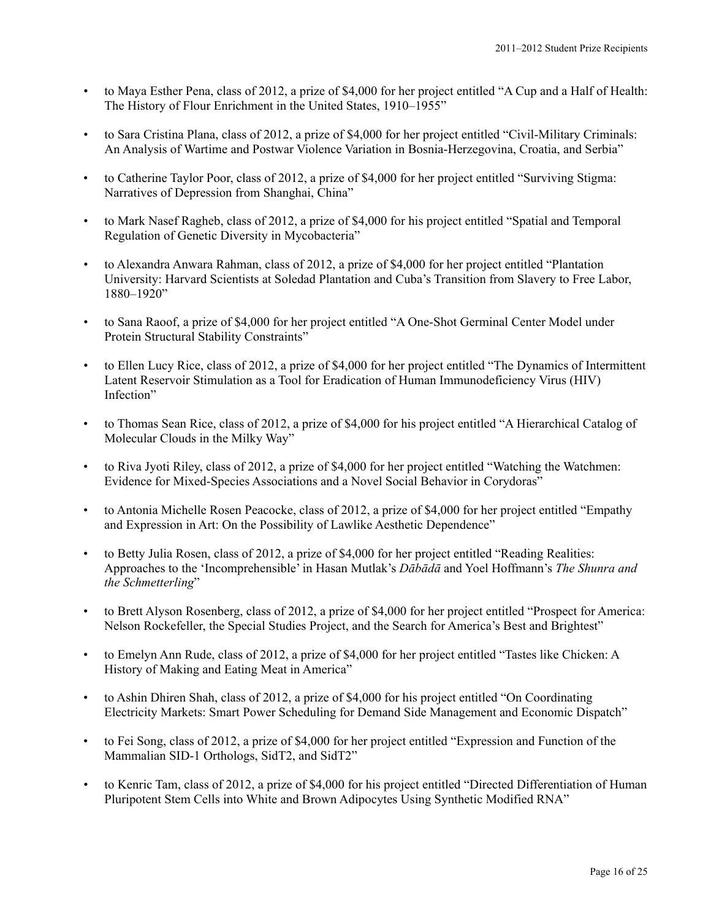- to Maya Esther Pena, class of 2012, a prize of \$4,000 for her project entitled "A Cup and a Half of Health: The History of Flour Enrichment in the United States, 1910–1955"
- to Sara Cristina Plana, class of 2012, a prize of \$4,000 for her project entitled "Civil-Military Criminals: An Analysis of Wartime and Postwar Violence Variation in Bosnia-Herzegovina, Croatia, and Serbia"
- to Catherine Taylor Poor, class of 2012, a prize of \$4,000 for her project entitled "Surviving Stigma: Narratives of Depression from Shanghai, China"
- to Mark Nasef Ragheb, class of 2012, a prize of \$4,000 for his project entitled "Spatial and Temporal Regulation of Genetic Diversity in Mycobacteria"
- to Alexandra Anwara Rahman, class of 2012, a prize of \$4,000 for her project entitled "Plantation University: Harvard Scientists at Soledad Plantation and Cuba's Transition from Slavery to Free Labor, 1880–1920"
- to Sana Raoof, a prize of \$4,000 for her project entitled "A One-Shot Germinal Center Model under Protein Structural Stability Constraints"
- to Ellen Lucy Rice, class of 2012, a prize of \$4,000 for her project entitled "The Dynamics of Intermittent Latent Reservoir Stimulation as a Tool for Eradication of Human Immunodeficiency Virus (HIV) Infection"
- to Thomas Sean Rice, class of 2012, a prize of \$4,000 for his project entitled "A Hierarchical Catalog of Molecular Clouds in the Milky Way"
- to Riva Jyoti Riley, class of 2012, a prize of \$4,000 for her project entitled "Watching the Watchmen: Evidence for Mixed-Species Associations and a Novel Social Behavior in Corydoras"
- to Antonia Michelle Rosen Peacocke, class of 2012, a prize of \$4,000 for her project entitled "Empathy and Expression in Art: On the Possibility of Lawlike Aesthetic Dependence"
- to Betty Julia Rosen, class of 2012, a prize of \$4,000 for her project entitled "Reading Realities: Approaches to the 'Incomprehensible' in Hasan Mutlak's *Dābādā* and Yoel Hoffmann's *The Shunra and the Schmetterling*"
- to Brett Alyson Rosenberg, class of 2012, a prize of \$4,000 for her project entitled "Prospect for America: Nelson Rockefeller, the Special Studies Project, and the Search for America's Best and Brightest"
- to Emelyn Ann Rude, class of 2012, a prize of \$4,000 for her project entitled "Tastes like Chicken: A History of Making and Eating Meat in America"
- to Ashin Dhiren Shah, class of 2012, a prize of \$4,000 for his project entitled "On Coordinating Electricity Markets: Smart Power Scheduling for Demand Side Management and Economic Dispatch"
- to Fei Song, class of 2012, a prize of \$4,000 for her project entitled "Expression and Function of the Mammalian SID-1 Orthologs, SidT2, and SidT2"
- to Kenric Tam, class of 2012, a prize of \$4,000 for his project entitled "Directed Differentiation of Human Pluripotent Stem Cells into White and Brown Adipocytes Using Synthetic Modified RNA"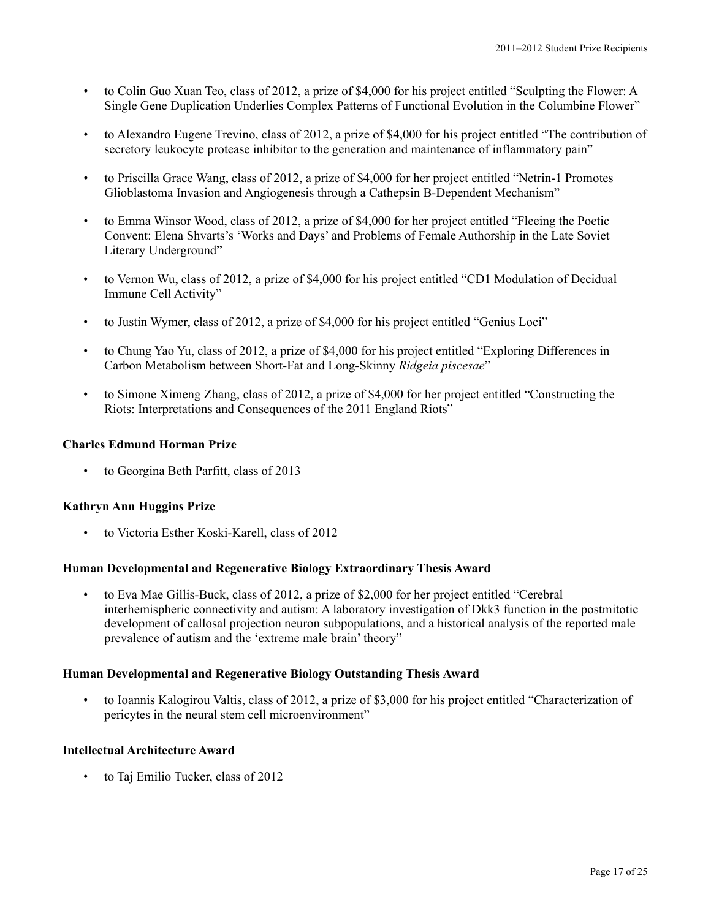- to Colin Guo Xuan Teo, class of 2012, a prize of \$4,000 for his project entitled "Sculpting the Flower: A Single Gene Duplication Underlies Complex Patterns of Functional Evolution in the Columbine Flower"
- to Alexandro Eugene Trevino, class of 2012, a prize of \$4,000 for his project entitled "The contribution of secretory leukocyte protease inhibitor to the generation and maintenance of inflammatory pain"
- to Priscilla Grace Wang, class of 2012, a prize of \$4,000 for her project entitled "Netrin-1 Promotes Glioblastoma Invasion and Angiogenesis through a Cathepsin B-Dependent Mechanism"
- to Emma Winsor Wood, class of 2012, a prize of \$4,000 for her project entitled "Fleeing the Poetic Convent: Elena Shvarts's 'Works and Days' and Problems of Female Authorship in the Late Soviet Literary Underground"
- to Vernon Wu, class of 2012, a prize of \$4,000 for his project entitled "CD1 Modulation of Decidual Immune Cell Activity"
- to Justin Wymer, class of 2012, a prize of \$4,000 for his project entitled "Genius Loci"
- to Chung Yao Yu, class of 2012, a prize of \$4,000 for his project entitled "Exploring Differences in Carbon Metabolism between Short-Fat and Long-Skinny *Ridgeia piscesae*"
- to Simone Ximeng Zhang, class of 2012, a prize of \$4,000 for her project entitled "Constructing the Riots: Interpretations and Consequences of the 2011 England Riots"

### **Charles Edmund Horman Prize**

• to Georgina Beth Parfitt, class of 2013

# **Kathryn Ann Huggins Prize**

• to Victoria Esther Koski-Karell, class of 2012

# **Human Developmental and Regenerative Biology Extraordinary Thesis Award**

• to Eva Mae Gillis-Buck, class of 2012, a prize of \$2,000 for her project entitled "Cerebral interhemispheric connectivity and autism: A laboratory investigation of Dkk3 function in the postmitotic development of callosal projection neuron subpopulations, and a historical analysis of the reported male prevalence of autism and the 'extreme male brain' theory"

#### **Human Developmental and Regenerative Biology Outstanding Thesis Award**

• to Ioannis Kalogirou Valtis, class of 2012, a prize of \$3,000 for his project entitled "Characterization of pericytes in the neural stem cell microenvironment"

#### **Intellectual Architecture Award**

• to Taj Emilio Tucker, class of 2012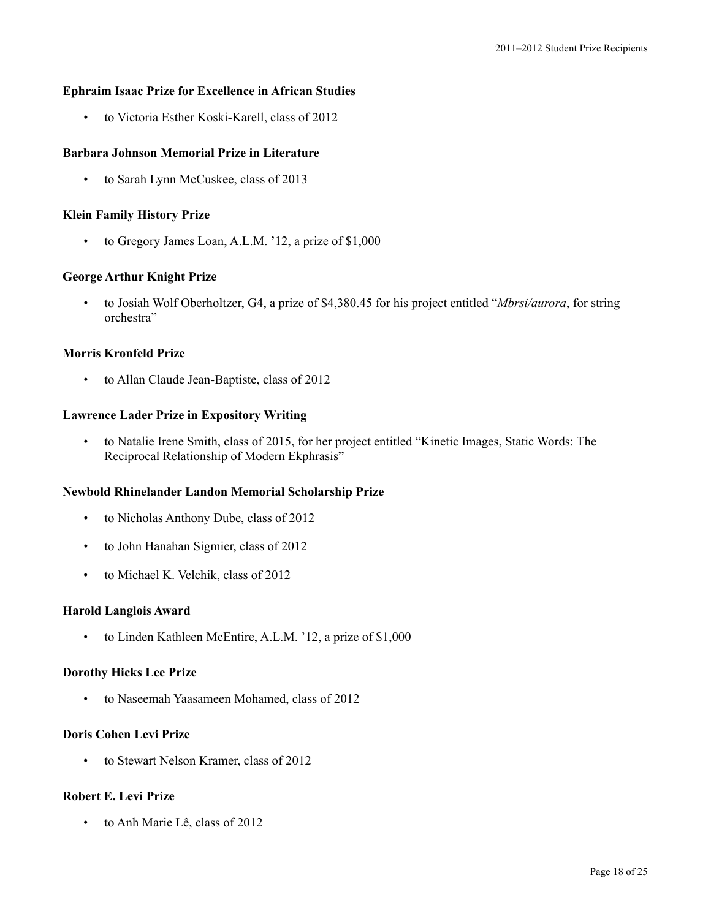#### **Ephraim Isaac Prize for Excellence in African Studies**

• to Victoria Esther Koski-Karell, class of 2012

# **Barbara Johnson Memorial Prize in Literature**

• to Sarah Lynn McCuskee, class of 2013

#### **Klein Family History Prize**

• to Gregory James Loan, A.L.M. '12, a prize of \$1,000

### **George Arthur Knight Prize**

• to Josiah Wolf Oberholtzer, G4, a prize of \$4,380.45 for his project entitled "*Mbrsi/aurora*, for string orchestra"

### **Morris Kronfeld Prize**

• to Allan Claude Jean-Baptiste, class of 2012

### **Lawrence Lader Prize in Expository Writing**

• to Natalie Irene Smith, class of 2015, for her project entitled "Kinetic Images, Static Words: The Reciprocal Relationship of Modern Ekphrasis"

### **Newbold Rhinelander Landon Memorial Scholarship Prize**

- to Nicholas Anthony Dube, class of 2012
- to John Hanahan Sigmier, class of 2012
- to Michael K. Velchik, class of 2012

#### **Harold Langlois Award**

to Linden Kathleen McEntire, A.L.M. '12, a prize of \$1,000

#### **Dorothy Hicks Lee Prize**

• to Naseemah Yaasameen Mohamed, class of 2012

### **Doris Cohen Levi Prize**

• to Stewart Nelson Kramer, class of 2012

### **Robert E. Levi Prize**

• to Anh Marie Lê, class of 2012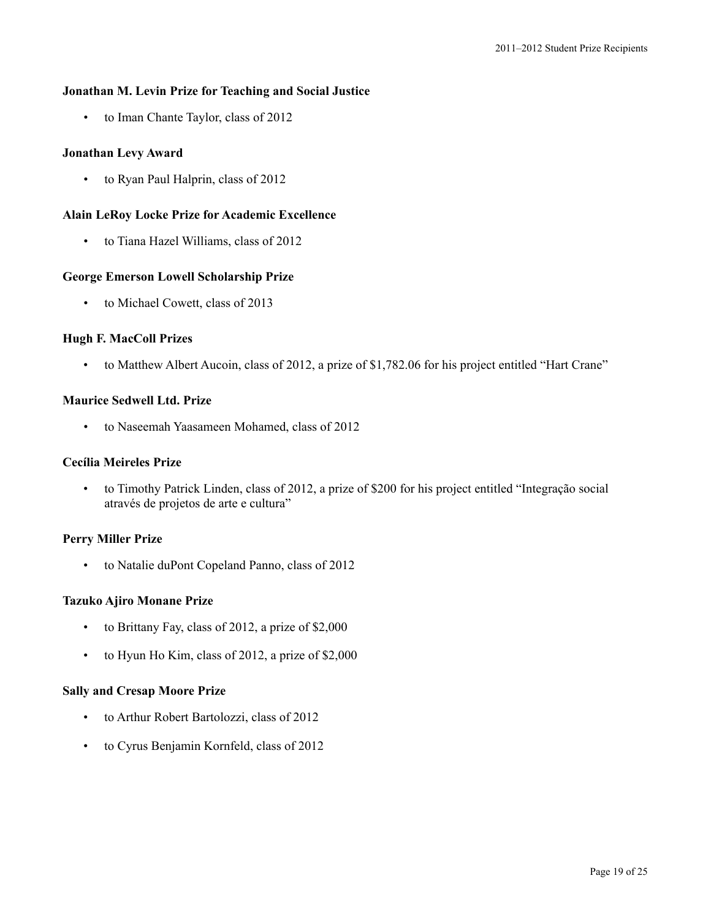# **Jonathan M. Levin Prize for Teaching and Social Justice**

• to Iman Chante Taylor, class of 2012

# **Jonathan Levy Award**

• to Ryan Paul Halprin, class of 2012

# **Alain LeRoy Locke Prize for Academic Excellence**

• to Tiana Hazel Williams, class of 2012

# **George Emerson Lowell Scholarship Prize**

• to Michael Cowett, class of 2013

# **Hugh F. MacColl Prizes**

• to Matthew Albert Aucoin, class of 2012, a prize of \$1,782.06 for his project entitled "Hart Crane"

# **Maurice Sedwell Ltd. Prize**

• to Naseemah Yaasameen Mohamed, class of 2012

# **Cecília Meireles Prize**

• to Timothy Patrick Linden, class of 2012, a prize of \$200 for his project entitled "Integração social através de projetos de arte e cultura"

# **Perry Miller Prize**

• to Natalie duPont Copeland Panno, class of 2012

# **Tazuko Ajiro Monane Prize**

- to Brittany Fay, class of 2012, a prize of \$2,000
- to Hyun Ho Kim, class of 2012, a prize of \$2,000

# **Sally and Cresap Moore Prize**

- to Arthur Robert Bartolozzi, class of 2012
- to Cyrus Benjamin Kornfeld, class of 2012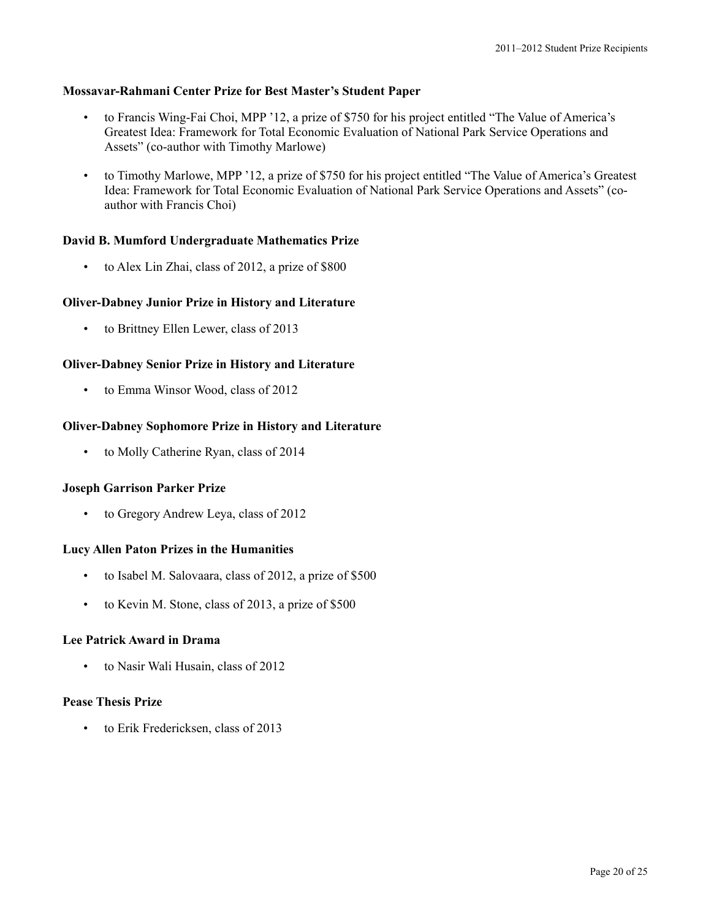# **Mossavar-Rahmani Center Prize for Best Master's Student Paper**

- to Francis Wing-Fai Choi, MPP '12, a prize of \$750 for his project entitled "The Value of America's Greatest Idea: Framework for Total Economic Evaluation of National Park Service Operations and Assets" (co-author with Timothy Marlowe)
- to Timothy Marlowe, MPP '12, a prize of \$750 for his project entitled "The Value of America's Greatest Idea: Framework for Total Economic Evaluation of National Park Service Operations and Assets" (coauthor with Francis Choi)

### **David B. Mumford Undergraduate Mathematics Prize**

• to Alex Lin Zhai, class of 2012, a prize of \$800

# **Oliver-Dabney Junior Prize in History and Literature**

• to Brittney Ellen Lewer, class of 2013

### **Oliver-Dabney Senior Prize in History and Literature**

• to Emma Winsor Wood, class of 2012

#### **Oliver-Dabney Sophomore Prize in History and Literature**

• to Molly Catherine Ryan, class of 2014

#### **Joseph Garrison Parker Prize**

• to Gregory Andrew Leya, class of 2012

#### **Lucy Allen Paton Prizes in the Humanities**

- to Isabel M. Salovaara, class of 2012, a prize of \$500
- to Kevin M. Stone, class of 2013, a prize of \$500

#### **Lee Patrick Award in Drama**

• to Nasir Wali Husain, class of 2012

#### **Pease Thesis Prize**

• to Erik Fredericksen, class of 2013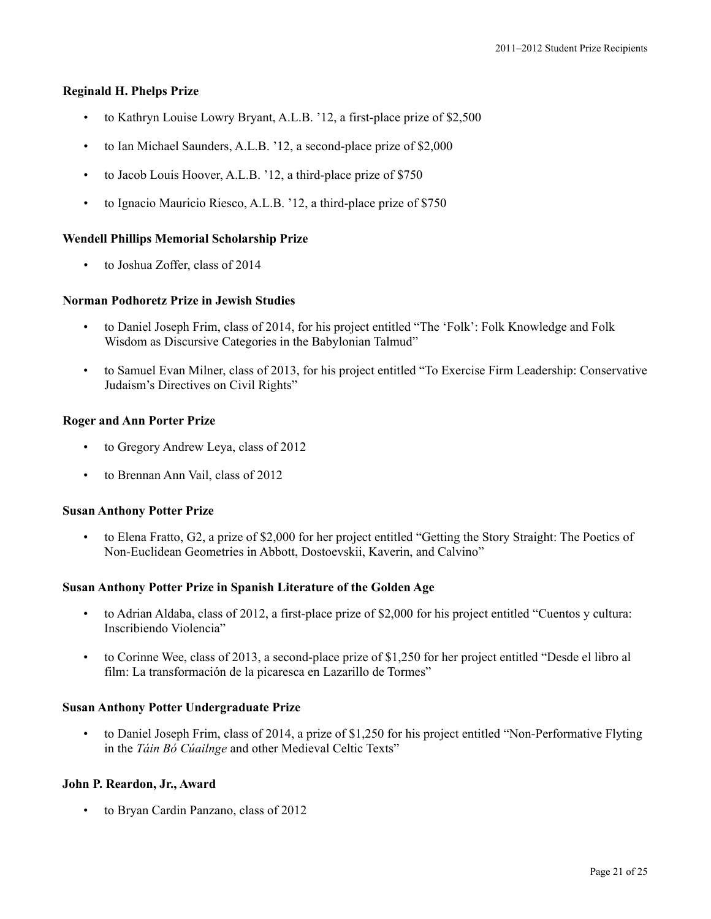# **Reginald H. Phelps Prize**

- to Kathryn Louise Lowry Bryant, A.L.B. '12, a first-place prize of \$2,500
- to Ian Michael Saunders, A.L.B. '12, a second-place prize of \$2,000
- to Jacob Louis Hoover, A.L.B. '12, a third-place prize of \$750
- to Ignacio Mauricio Riesco, A.L.B. '12, a third-place prize of \$750

# **Wendell Phillips Memorial Scholarship Prize**

• to Joshua Zoffer, class of 2014

# **Norman Podhoretz Prize in Jewish Studies**

- to Daniel Joseph Frim, class of 2014, for his project entitled "The 'Folk': Folk Knowledge and Folk Wisdom as Discursive Categories in the Babylonian Talmud"
- to Samuel Evan Milner, class of 2013, for his project entitled "To Exercise Firm Leadership: Conservative Judaism's Directives on Civil Rights"

# **Roger and Ann Porter Prize**

- to Gregory Andrew Leya, class of 2012
- to Brennan Ann Vail, class of 2012

# **Susan Anthony Potter Prize**

• to Elena Fratto, G2, a prize of \$2,000 for her project entitled "Getting the Story Straight: The Poetics of Non-Euclidean Geometries in Abbott, Dostoevskii, Kaverin, and Calvino"

# **Susan Anthony Potter Prize in Spanish Literature of the Golden Age**

- to Adrian Aldaba, class of 2012, a first-place prize of \$2,000 for his project entitled "Cuentos y cultura: Inscribiendo Violencia"
- to Corinne Wee, class of 2013, a second-place prize of \$1,250 for her project entitled "Desde el libro al film: La transformación de la picaresca en Lazarillo de Tormes"

# **Susan Anthony Potter Undergraduate Prize**

• to Daniel Joseph Frim, class of 2014, a prize of \$1,250 for his project entitled "Non-Performative Flyting in the *Táin Bó Cúailnge* and other Medieval Celtic Texts"

# **John P. Reardon, Jr., Award**

• to Bryan Cardin Panzano, class of 2012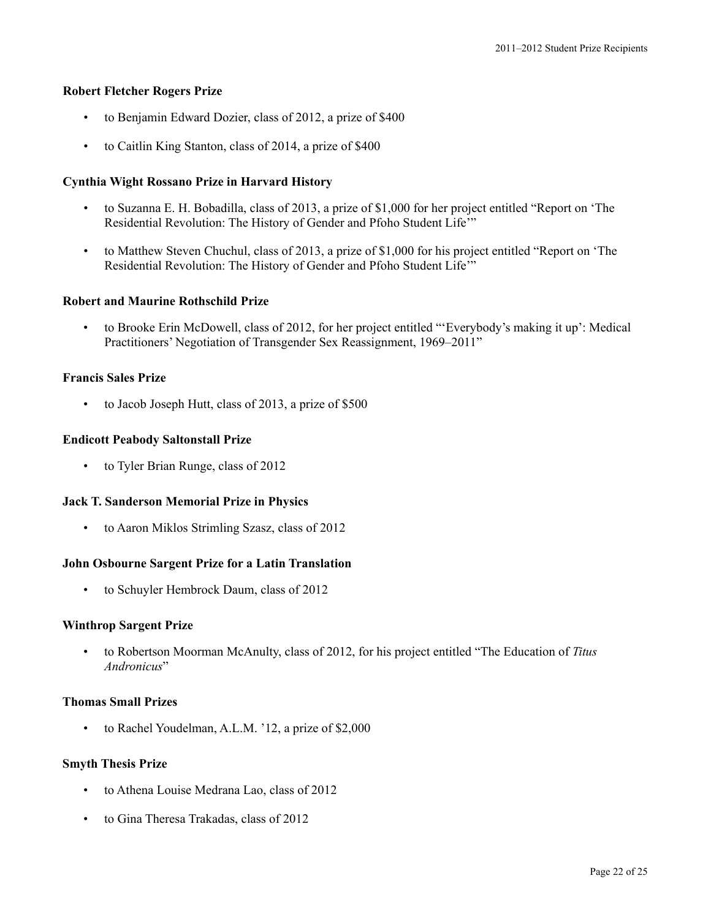#### **Robert Fletcher Rogers Prize**

- to Benjamin Edward Dozier, class of 2012, a prize of \$400
- to Caitlin King Stanton, class of 2014, a prize of \$400

### **Cynthia Wight Rossano Prize in Harvard History**

- to Suzanna E. H. Bobadilla, class of 2013, a prize of \$1,000 for her project entitled "Report on 'The Residential Revolution: The History of Gender and Pfoho Student Life'"
- to Matthew Steven Chuchul, class of 2013, a prize of \$1,000 for his project entitled "Report on 'The Residential Revolution: The History of Gender and Pfoho Student Life'"

#### **Robert and Maurine Rothschild Prize**

• to Brooke Erin McDowell, class of 2012, for her project entitled "'Everybody's making it up': Medical Practitioners' Negotiation of Transgender Sex Reassignment, 1969–2011"

### **Francis Sales Prize**

• to Jacob Joseph Hutt, class of 2013, a prize of \$500

### **Endicott Peabody Saltonstall Prize**

to Tyler Brian Runge, class of 2012

#### **Jack T. Sanderson Memorial Prize in Physics**

• to Aaron Miklos Strimling Szasz, class of 2012

#### **John Osbourne Sargent Prize for a Latin Translation**

• to Schuyler Hembrock Daum, class of 2012

#### **Winthrop Sargent Prize**

• to Robertson Moorman McAnulty, class of 2012, for his project entitled "The Education of *Titus Andronicus*"

#### **Thomas Small Prizes**

to Rachel Youdelman, A.L.M. '12, a prize of \$2,000

#### **Smyth Thesis Prize**

- to Athena Louise Medrana Lao, class of 2012
- to Gina Theresa Trakadas, class of 2012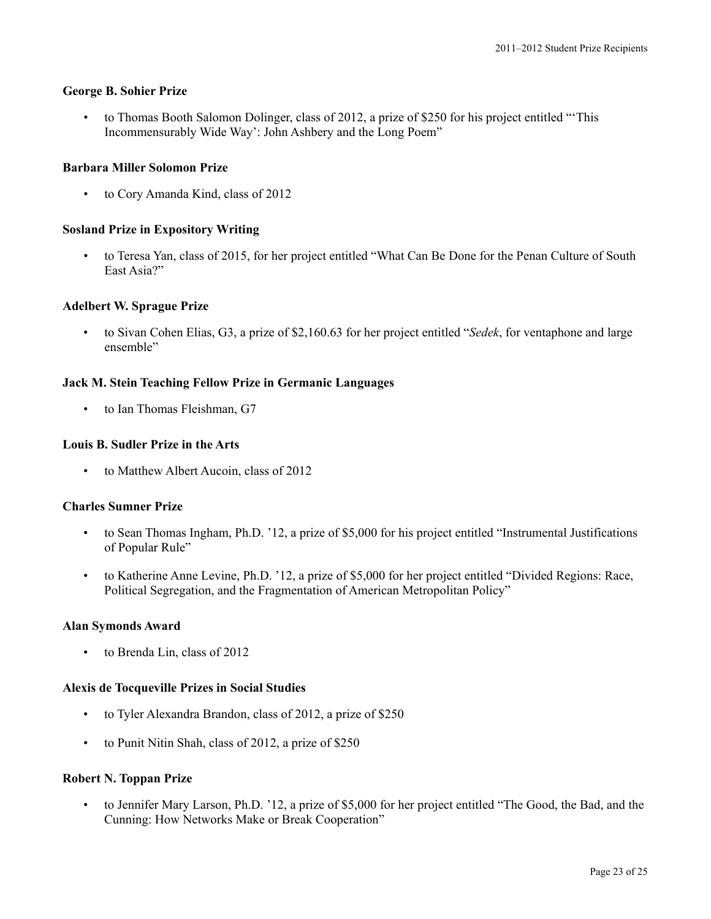#### **George B. Sohier Prize**

• to Thomas Booth Salomon Dolinger, class of 2012, a prize of \$250 for his project entitled "'This Incommensurably Wide Way': John Ashbery and the Long Poem"

#### **Barbara Miller Solomon Prize**

• to Cory Amanda Kind, class of 2012

#### **Sosland Prize in Expository Writing**

• to Teresa Yan, class of 2015, for her project entitled "What Can Be Done for the Penan Culture of South East Asia?"

#### **Adelbert W. Sprague Prize**

• to Sivan Cohen Elias, G3, a prize of \$2,160.63 for her project entitled "*Sedek*, for ventaphone and large ensemble"

#### **Jack M. Stein Teaching Fellow Prize in Germanic Languages**

• to Ian Thomas Fleishman, G7

#### **Louis B. Sudler Prize in the Arts**

to Matthew Albert Aucoin, class of 2012

#### **Charles Sumner Prize**

- to Sean Thomas Ingham, Ph.D. '12, a prize of \$5,000 for his project entitled "Instrumental Justifications of Popular Rule"
- to Katherine Anne Levine, Ph.D. '12, a prize of \$5,000 for her project entitled "Divided Regions: Race, Political Segregation, and the Fragmentation of American Metropolitan Policy"

### **Alan Symonds Award**

• to Brenda Lin, class of 2012

#### **Alexis de Tocqueville Prizes in Social Studies**

- to Tyler Alexandra Brandon, class of 2012, a prize of \$250
- to Punit Nitin Shah, class of 2012, a prize of \$250

# **Robert N. Toppan Prize**

• to Jennifer Mary Larson, Ph.D. '12, a prize of \$5,000 for her project entitled "The Good, the Bad, and the Cunning: How Networks Make or Break Cooperation"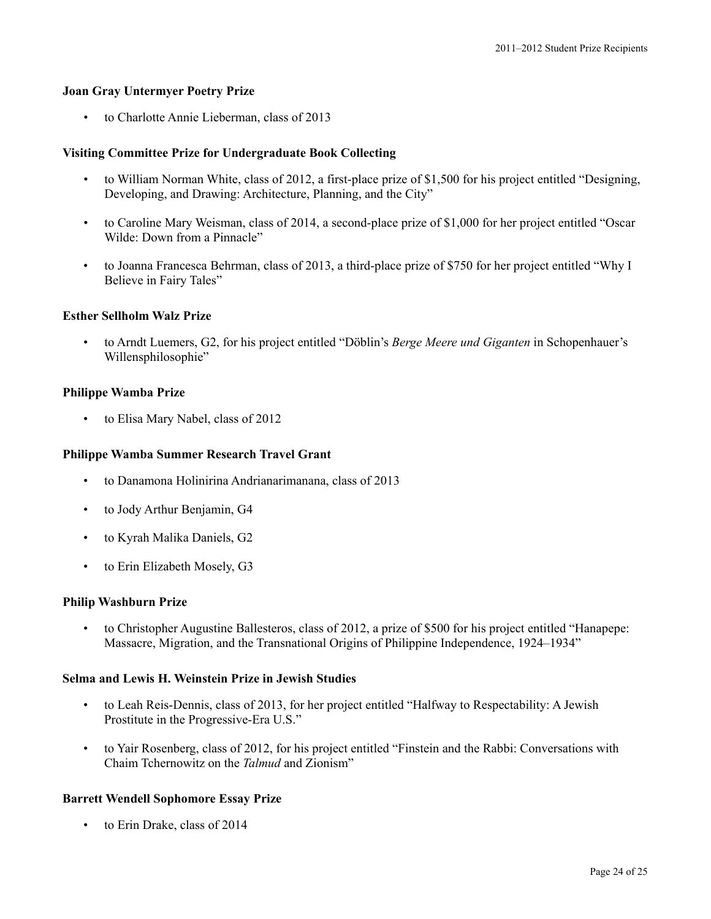### **Joan Gray Untermyer Poetry Prize**

• to Charlotte Annie Lieberman, class of 2013

### **Visiting Committee Prize for Undergraduate Book Collecting**

- to William Norman White, class of 2012, a first-place prize of \$1,500 for his project entitled "Designing, Developing, and Drawing: Architecture, Planning, and the City"
- to Caroline Mary Weisman, class of 2014, a second-place prize of \$1,000 for her project entitled "Oscar Wilde: Down from a Pinnacle"
- to Joanna Francesca Behrman, class of 2013, a third-place prize of \$750 for her project entitled "Why I Believe in Fairy Tales"

### **Esther Sellholm Walz Prize**

• to Arndt Luemers, G2, for his project entitled "Döblin's *Berge Meere und Giganten* in Schopenhauer's Willensphilosophie"

### **Philippe Wamba Prize**

• to Elisa Mary Nabel, class of 2012

#### **Philippe Wamba Summer Research Travel Grant**

- to Danamona Holinirina Andrianarimanana, class of 2013
- to Jody Arthur Benjamin, G4
- to Kyrah Malika Daniels, G2
- to Erin Elizabeth Mosely, G3

### **Philip Washburn Prize**

• to Christopher Augustine Ballesteros, class of 2012, a prize of \$500 for his project entitled "Hanapepe: Massacre, Migration, and the Transnational Origins of Philippine Independence, 1924–1934"

### **Selma and Lewis H. Weinstein Prize in Jewish Studies**

- to Leah Reis-Dennis, class of 2013, for her project entitled "Halfway to Respectability: A Jewish Prostitute in the Progressive-Era U.S."
- to Yair Rosenberg, class of 2012, for his project entitled "Finstein and the Rabbi: Conversations with Chaim Tchernowitz on the *Talmud* and Zionism"

# **Barrett Wendell Sophomore Essay Prize**

• to Erin Drake, class of 2014